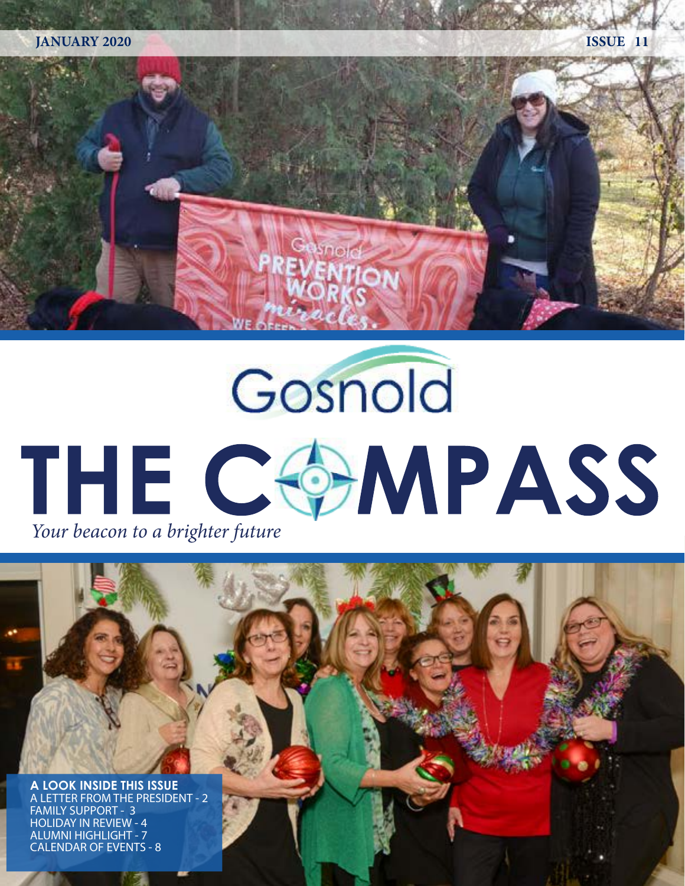

# Gosnold THE COMPASS *Your beacon to a brighter future*

**A LOOK INSIDE THIS ISSUE** A LETTER FROM THE PRESIDENT - 2 FAMILY SUPPORT - 3 HOLIDAY IN REVIEW - 4 ALUMNI HIGHLIGHT - 7 CALENDAR OF EVENTS - 8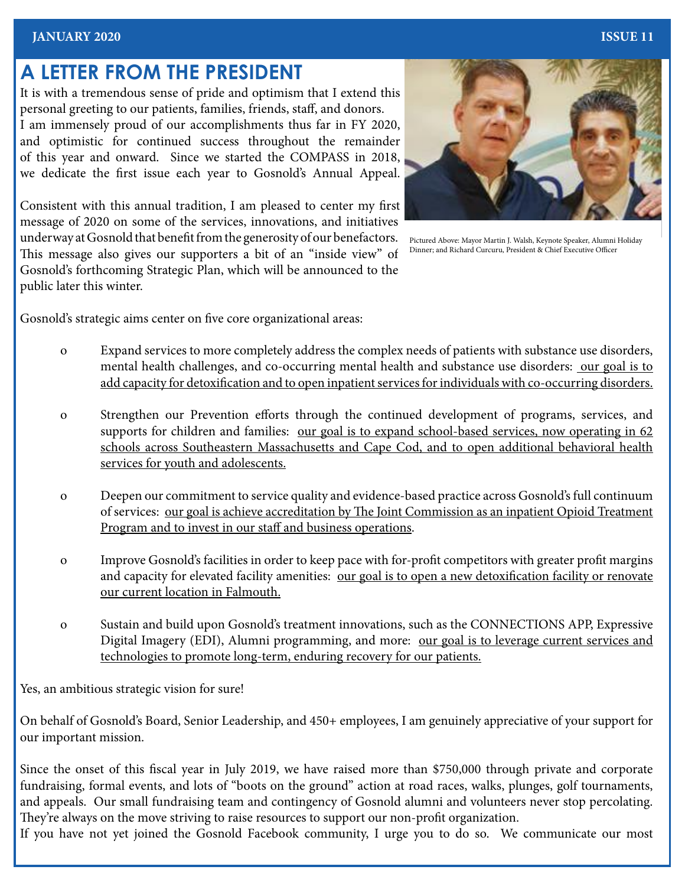#### **JANUARY 2020 ISSUE 11**

### **A LETTER FROM THE PRESIDENT**

It is with a tremendous sense of pride and optimism that I extend this personal greeting to our patients, families, friends, staff, and donors. I am immensely proud of our accomplishments thus far in FY 2020, and optimistic for continued success throughout the remainder of this year and onward. Since we started the COMPASS in 2018, we dedicate the first issue each year to Gosnold's Annual Appeal.

Consistent with this annual tradition, I am pleased to center my first message of 2020 on some of the services, innovations, and initiatives underway at Gosnold that benefit from the generosity of our benefactors. This message also gives our supporters a bit of an "inside view" of Gosnold's forthcoming Strategic Plan, which will be announced to the public later this winter.



Pictured Above: Mayor Martin J. Walsh, Keynote Speaker, Alumni Holiday Dinner; and Richard Curcuru, President & Chief Executive Officer

Gosnold's strategic aims center on five core organizational areas:

- o Expand services to more completely address the complex needs of patients with substance use disorders, mental health challenges, and co-occurring mental health and substance use disorders: our goal is to add capacity for detoxification and to open inpatient services for individuals with co-occurring disorders.
- o Strengthen our Prevention efforts through the continued development of programs, services, and supports for children and families: <u>our goal is to expand school-based services</u>, now operating in 62 schools across Southeastern Massachusetts and Cape Cod, and to open additional behavioral health services for youth and adolescents.
- o Deepen our commitment to service quality and evidence-based practice across Gosnold's full continuum of services: our goal is achieve accreditation by The Joint Commission as an inpatient Opioid Treatment Program and to invest in our staff and business operations.
- o Improve Gosnold's facilities in order to keep pace with for-profit competitors with greater profit margins and capacity for elevated facility amenities: our goal is to open a new detoxification facility or renovate our current location in Falmouth.
- o Sustain and build upon Gosnold's treatment innovations, such as the CONNECTIONS APP, Expressive Digital Imagery (EDI), Alumni programming, and more: our goal is to leverage current services and technologies to promote long-term, enduring recovery for our patients.

Yes, an ambitious strategic vision for sure!

On behalf of Gosnold's Board, Senior Leadership, and 450+ employees, I am genuinely appreciative of your support for our important mission.

Since the onset of this fiscal year in July 2019, we have raised more than \$750,000 through private and corporate fundraising, formal events, and lots of "boots on the ground" action at road races, walks, plunges, golf tournaments, and appeals. Our small fundraising team and contingency of Gosnold alumni and volunteers never stop percolating. They're always on the move striving to raise resources to support our non-profit organization.

If you have not yet joined the Gosnold Facebook community, I urge you to do so. We communicate our most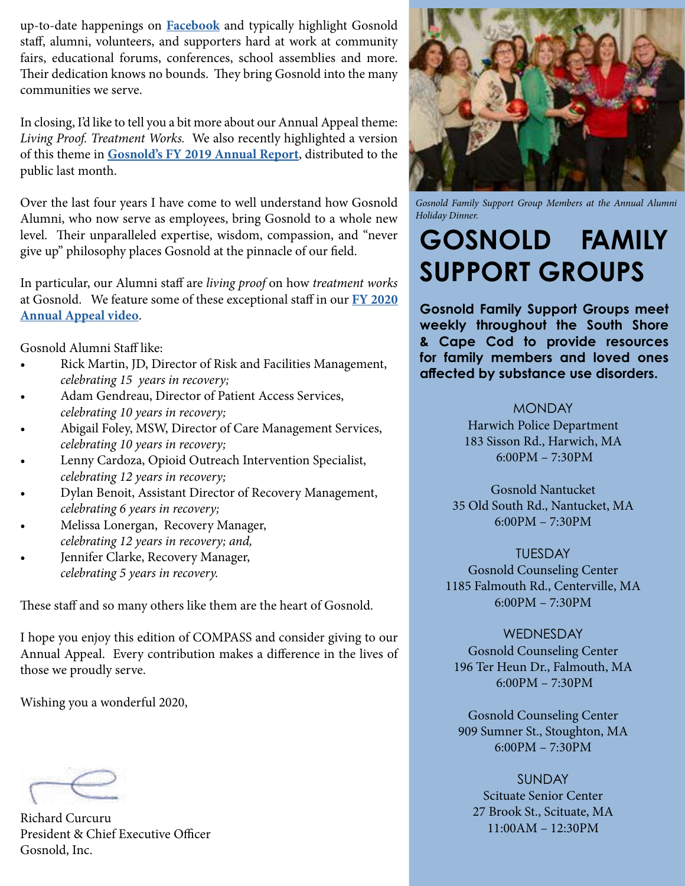up-to-date happenings on **[Facebook](http://www.facebook.com/gosnoldtreatmentcenters)** and typically highlight Gosnold staff, alumni, volunteers, and supporters hard at work at community fairs, educational forums, conferences, school assemblies and more. Their dedication knows no bounds. They bring Gosnold into the many communities we serve.

In closing, I'd like to tell you a bit more about our Annual Appeal theme: *Living Proof. Treatment Works.* We also recently highlighted a version of this theme in **[Gosnold's FY 2019 Annual Report](https://gosnold.org/ANNUAL-APPEAL/)**, distributed to the public last month.

Over the last four years I have come to well understand how Gosnold Alumni, who now serve as employees, bring Gosnold to a whole new level. Their unparalleled expertise, wisdom, compassion, and "never give up" philosophy places Gosnold at the pinnacle of our field.

In particular, our Alumni staff are *living proof* on how *treatment works*  at Gosnold. We feature some of these exceptional staff in our **[FY 2020](https://gosnold.org/ANNUAL-APPEAL/)  [Annual Appeal video](https://gosnold.org/ANNUAL-APPEAL/)**.

Gosnold Alumni Staff like:

- Rick Martin, JD, Director of Risk and Facilities Management, *celebrating 15 years in recovery;*
- Adam Gendreau, Director of Patient Access Services, *celebrating 10 years in recovery;*
- Abigail Foley, MSW, Director of Care Management Services, *celebrating 10 years in recovery;*
- Lenny Cardoza, Opioid Outreach Intervention Specialist, *celebrating 12 years in recovery;*
- Dylan Benoit, Assistant Director of Recovery Management, *celebrating 6 years in recovery;*
- Melissa Lonergan, Recovery Manager, *celebrating 12 years in recovery; and,*
- Jennifer Clarke, Recovery Manager, *celebrating 5 years in recovery.*

These staff and so many others like them are the heart of Gosnold.

I hope you enjoy this edition of COMPASS and consider giving to our Annual Appeal. Every contribution makes a difference in the lives of those we proudly serve.

Wishing you a wonderful 2020,

Richard Curcuru President & Chief Executive Officer Gosnold, Inc.



*Gosnold Family Support Group Members at the Annual Alumni Holiday Dinner.* 

## **GOSNOLD FAMILY SUPPORT GROUPS**

**Gosnold Family Support Groups meet weekly throughout the South Shore & Cape Cod to provide resources for family members and loved ones affected by substance use disorders.** 

> **MONDAY** Harwich Police Department 183 Sisson Rd., Harwich, MA 6:00PM – 7:30PM

Gosnold Nantucket 35 Old South Rd., Nantucket, MA 6:00PM – 7:30PM

TUESDAY Gosnold Counseling Center 1185 Falmouth Rd., Centerville, MA 6:00PM – 7:30PM

WEDNESDAY Gosnold Counseling Center 196 Ter Heun Dr., Falmouth, MA 6:00PM – 7:30PM

Gosnold Counseling Center 909 Sumner St., Stoughton, MA 6:00PM – 7:30PM

**SUNDAY** Scituate Senior Center 27 Brook St., Scituate, MA 11:00AM – 12:30PM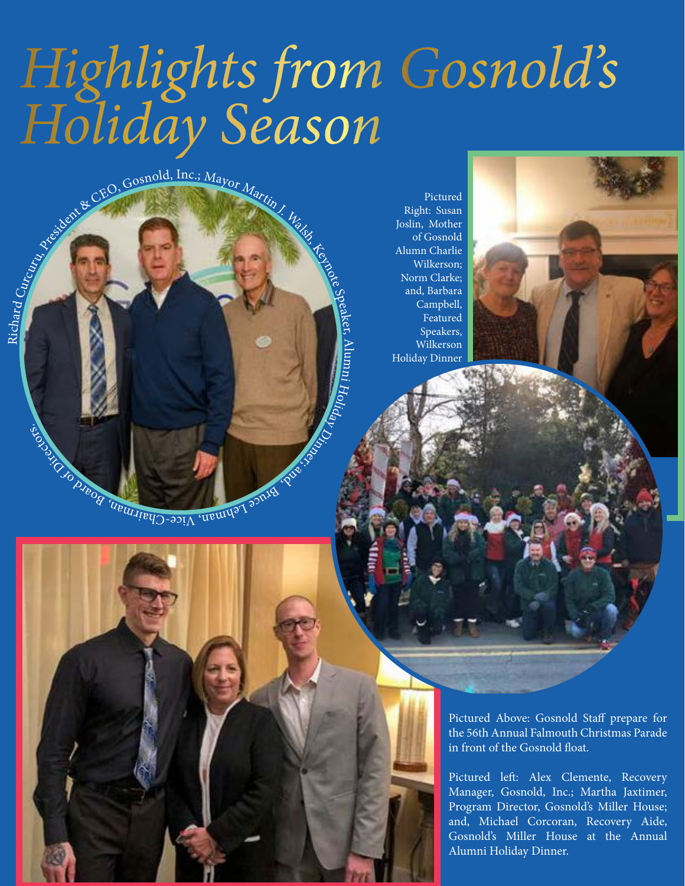## *Highlights from Gosnold's Holiday Season*

Speaker,

Alu m E.

Holiday

 $\mathcal{Z}$ 

CEO, Gosnold, Inc.; Mayor Martin J. Walsh, Cash, Cash, Cash, Cash, Cash, Cash, Cash, Cash, Cash, Cash, Cash, Cash, Cash, Cash, Cash, Cash, Cash, Cash, Cash, Cash, Cash, Cash, Cash, Cash, Cash, Cash, Cash, Cash, Cash, Cash,

Richard

istors.

Pictured Right: Susan Joslin, Mother of Gosnold Alumn Charlie Wilkerson; Norm Clarke; and, Barbara Campbell, Featured Speakers, Wilkerson Holiday Dinner

nte Chaman, Vice-Chamiman, Soart



Pictured left: Alex Clemente, Recovery Manager, Gosnold, Inc.; Martha Jaxtimer, Program Director, Gosnold's Miller House; and, Michael Corcoran, Recovery Aide, Gosnold's Miller House at the Annual Alumni Holiday Dinner.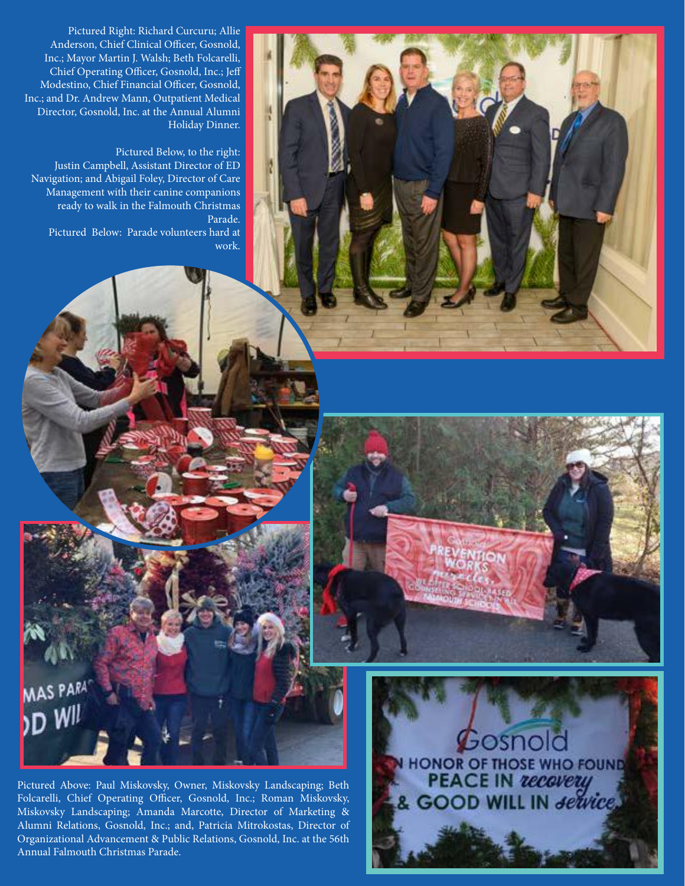

Pictured Below, to the right: Justin Campbell, Assistant Director of ED Navigation; and Abigail Foley, Director of Care Management with their canine companions ready to walk in the Falmouth Christmas Parade. Pictured Below: Parade volunteers hard at work.



Pictured Above: Paul Miskovsky, Owner, Miskovsky Landscaping; Beth Folcarelli, Chief Operating Officer, Gosnold, Inc.; Roman Miskovsky, Miskovsky Landscaping; Amanda Marcotte, Director of Marketing & Alumni Relations, Gosnold, Inc.; and, Patricia Mitrokostas, Director of Organizational Advancement & Public Relations, Gosnold, Inc. at the 56th Annual Falmouth Christmas Parade.

MAS PARA

D WIL

 $\cal B$ osnold **HONOR OF THOSE WHO FOUND<br>PEACE IN** *recevery*<br>& GOOD WILL IN *<del>dervice</del>*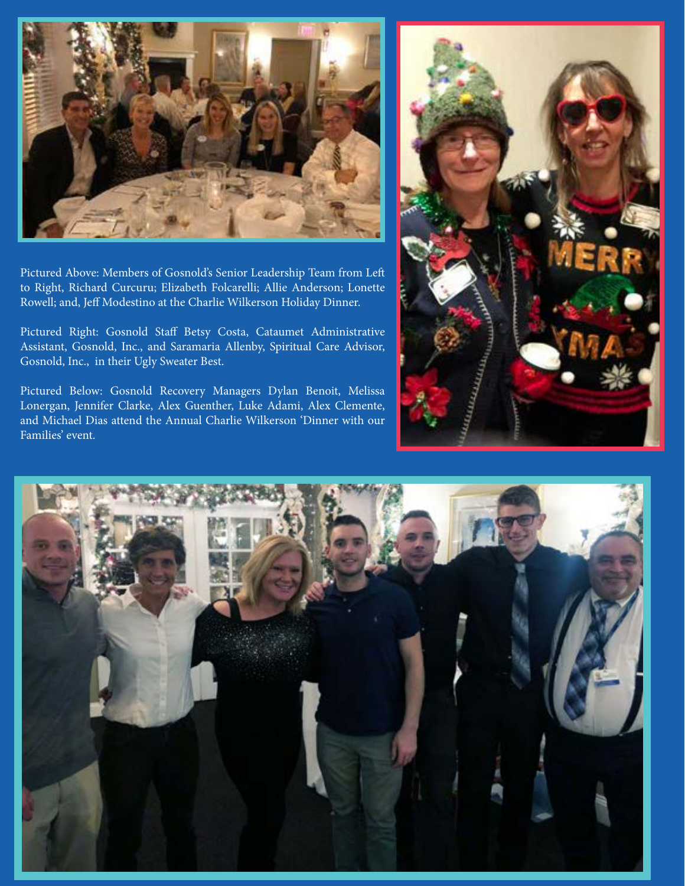

Pictured Above: Members of Gosnold's Senior Leadership Team from Left to Right, Richard Curcuru; Elizabeth Folcarelli; Allie Anderson; Lonette Rowell; and, Jeff Modestino at the Charlie Wilkerson Holiday Dinner.

Pictured Right: Gosnold Staff Betsy Costa, Cataumet Administrative Assistant, Gosnold, Inc., and Saramaria Allenby, Spiritual Care Advisor, Gosnold, Inc., in their Ugly Sweater Best.

Pictured Below: Gosnold Recovery Managers Dylan Benoit, Melissa Lonergan, Jennifer Clarke, Alex Guenther, Luke Adami, Alex Clemente, and Michael Dias attend the Annual Charlie Wilkerson 'Dinner with our Families' event.



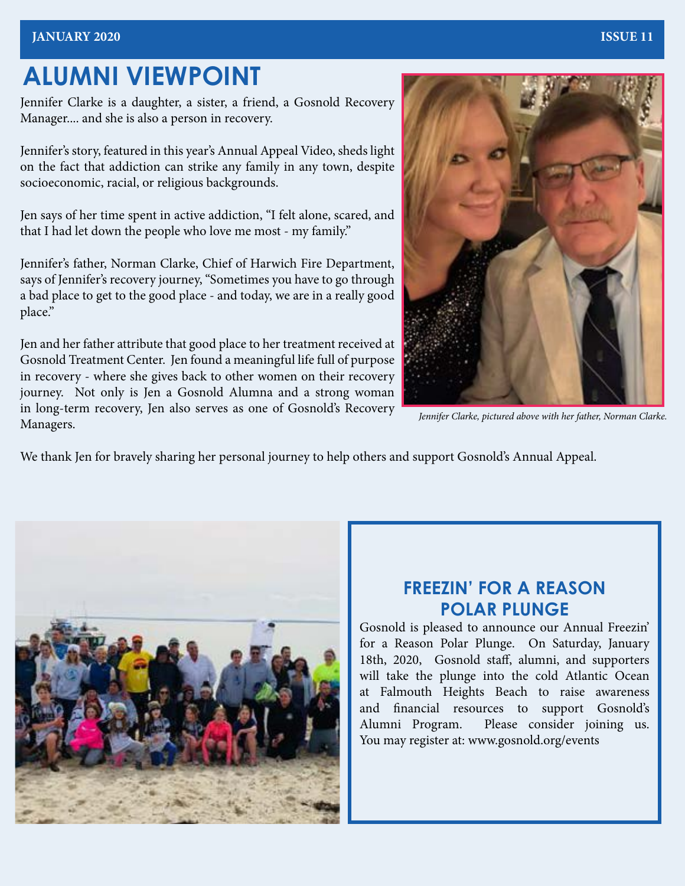## **ALUMNI VIEWPOINT**

Jennifer Clarke is a daughter, a sister, a friend, a Gosnold Recovery Manager.... and she is also a person in recovery.

Jennifer's story, featured in this year's Annual Appeal Video, sheds light on the fact that addiction can strike any family in any town, despite socioeconomic, racial, or religious backgrounds.

Jen says of her time spent in active addiction, "I felt alone, scared, and that I had let down the people who love me most - my family."

Jennifer's father, Norman Clarke, Chief of Harwich Fire Department, says of Jennifer's recovery journey, "Sometimes you have to go through a bad place to get to the good place - and today, we are in a really good place."

Jen and her father attribute that good place to her treatment received at Gosnold Treatment Center. Jen found a meaningful life full of purpose in recovery - where she gives back to other women on their recovery journey. Not only is Jen a Gosnold Alumna and a strong woman in long-term recovery, Jen also serves as one of Gosnold's Recovery Managers.



*Jennifer Clarke, pictured above with her father, Norman Clarke.*

We thank Jen for bravely sharing her personal journey to help others and support Gosnold's Annual Appeal.



#### **FREEZIN' FOR A REASON POLAR PLUNGE**

Gosnold is pleased to announce our Annual Freezin' for a Reason Polar Plunge. On Saturday, January 18th, 2020, Gosnold staff, alumni, and supporters will take the plunge into the cold Atlantic Ocean at Falmouth Heights Beach to raise awareness and financial resources to support Gosnold's Alumni Program. Please consider joining us. You may register at: www.gosnold.org/events